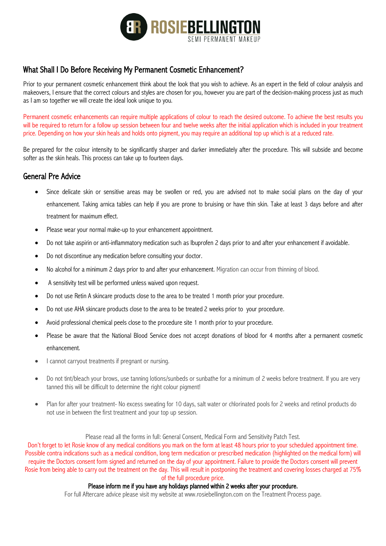

# What Shall I Do Before Receiving My Permanent Cosmetic Enhancement?

Prior to your permanent cosmetic enhancement think about the look that you wish to achieve. As an expert in the field of colour analysis and makeovers, I ensure that the correct colours and styles are chosen for you, however you are part of the decision-making process just as much as I am so together we will create the ideal look unique to you.

Permanent cosmetic enhancements can require multiple applications of colour to reach the desired outcome. To achieve the best results you will be required to return for a follow up session between four and twelve weeks after the initial application which is included in your treatment price. Depending on how your skin heals and holds onto pigment, you may require an additional top up which is at a reduced rate.

Be prepared for the colour intensity to be significantly sharper and darker immediately after the procedure. This will subside and become softer as the skin heals. This process can take up to fourteen days.

#### General Pre Advice

- Since delicate skin or sensitive areas may be swollen or red, you are advised not to make social plans on the day of your enhancement. Taking arnica tables can help if you are prone to bruising or have thin skin. Take at least 3 days before and after treatment for maximum effect.
- Please wear your normal make-up to your enhancement appointment.
- Do not take aspirin or anti-inflammatory medication such as Ibuprofen 2 days prior to and after your enhancement if avoidable.
- Do not discontinue any medication before consulting your doctor.
- No alcohol for a minimum 2 days prior to and after your enhancement. Migration can occur from thinning of blood.
- A sensitivity test will be performed unless waived upon request.
- Do not use Retin A skincare products close to the area to be treated 1 month prior your procedure.
- Do not use AHA skincare products close to the area to be treated 2 weeks prior to your procedure.
- Avoid professional chemical peels close to the procedure site 1 month prior to your procedure.
- Please be aware that the National Blood Service does not accept donations of blood for 4 months after a permanent cosmetic enhancement.
- I cannot carryout treatments if pregnant or nursing.
- Do not tint/bleach your brows, use tanning lotions/sunbeds or sunbathe for a minimum of 2 weeks before treatment. If you are very tanned this will be difficult to determine the right colour pigment!
- Plan for after your treatment- No excess sweating for 10 days, salt water or chlorinated pools for 2 weeks and retinol products do not use in between the first treatment and your top up session.

#### Please read all the forms in full: General Consent, Medical Form and Sensitivity Patch Test.

Don't forget to let Rosie know of any medical conditions you mark on the form at least 48 hours prior to your scheduled appointment time. Possible contra indications such as a medical condition, long term medication or prescribed medication (highlighted on the medical form) will require the Doctors consent form signed and returned on the day of your appointment. Failure to provide the Doctors consent will prevent Rosie from being able to carry out the treatment on the day. This will result in postponing the treatment and covering losses charged at 75% of the full procedure price.

#### Please inform me if you have any holidays planned within 2 weeks after your procedure.

For full Aftercare advice please visit my website at www.rosiebellington.com on the Treatment Process page.